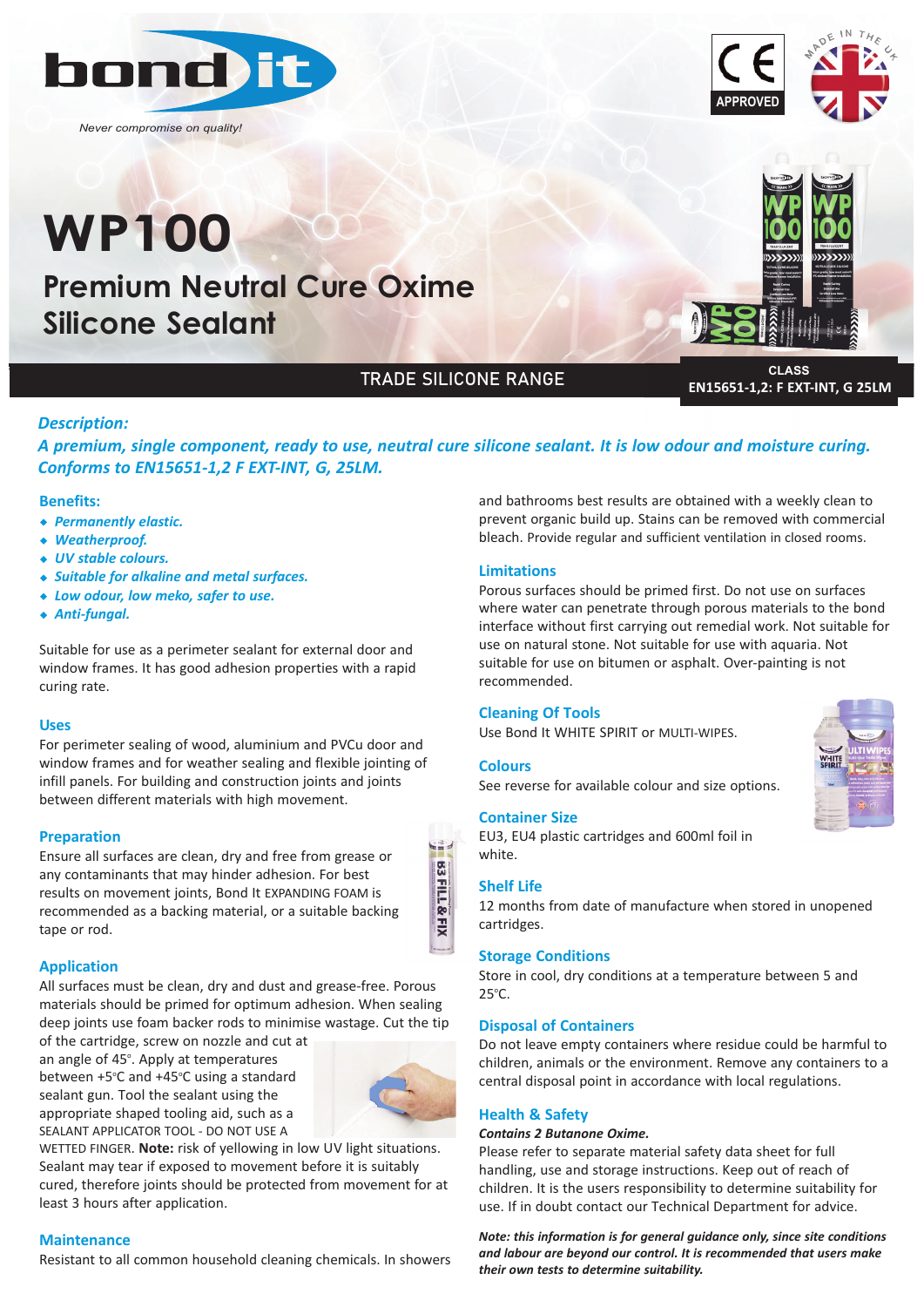

*Never compromise on quality!*

# **WP100**

**Premium Neutral Cure Oxime Silicone Sealant**

## TRADE SILICONE RANGE

**CLASS EN15651-1,2: F EXT-INT, G 25LM**

#### *Description:*

*A premium, single component, ready to use, neutral cure silicone sealant. It is low odour and moisture curing. Conforms to EN15651‐1,2 F EXT‐INT, G, 25LM.*

#### **Benefits:**

- w *Permanently elastic.*
- w *Weatherproof.*
- ◆ *UV* stable colours.
- w *Suitable for alkaline and metal surfaces.*
- w *Low odour, low meko, safer to use.*
- ◆ Anti-fungal.

Suitable for use as a perimeter sealant for external door and window frames. It has good adhesion properties with a rapid curing rate.

#### **Uses**

For perimeter sealing of wood, aluminium and PVCu door and window frames and for weather sealing and flexible jointing of infill panels. For building and construction joints and joints between different materials with high movement.

#### **Preparation**

Ensure all surfaces are clean, dry and free from grease or any contaminants that may hinder adhesion. For best results on movement joints, Bond It EXPANDING FOAM is recommended as a backing material, or a suitable backing tape or rod.

#### **Application**

All surfaces must be clean, dry and dust and grease-free. Porous materials should be primed for optimum adhesion. When sealing deep joints use foam backer rods to minimise wastage. Cut the tip

of the cartridge, screw on nozzle and cut at an angle of 45°. Apply at temperatures between +5°C and +45°C using a standard sealant gun. Tool the sealant using the appropriate shaped tooling aid, such as a SEALANT APPLICATOR TOOL - DO NOT USE A



WETTED FINGER. **Note:** risk of yellowing in low UV light situations. Sealant may tear if exposed to movement before it is suitably cured, therefore joints should be protected from movement for at least 3 hours after application.

#### **Maintenance**

Resistant to all common household cleaning chemicals. In showers

and bathrooms best results are obtained with a weekly clean to prevent organic build up. Stains can be removed with commercial bleach. Provide regular and sufficient ventilation in closed rooms.

#### **Limitations**

Porous surfaces should be primed first. Do not use on surfaces where water can penetrate through porous materials to the bond interface without first carrying out remedial work. Not suitable for use on natural stone. Not suitable for use with aquaria. Not suitable for use on bitumen or asphalt. Over-painting is not recommended.

#### **Cleaning Of Tools**

Use Bond It WHITE SPIRIT or MULTI-WIPES.

#### **Colours**

See reverse for available colour and size options.

#### **Container Size**

EU3, EU4 plastic cartridges and 600ml foil in white.

#### **Shelf Life**

**B3FILL&FIX** 

12 months from date of manufacture when stored in unopened cartridges.

#### **Storage Conditions**

Store in cool, dry conditions at a temperature between 5 and 25°C.

#### **Disposal of Containers**

Do not leave empty containers where residue could be harmful to children, animals or the environment. Remove any containers to a central disposal point in accordance with local regulations.

#### **Health & Safety**

#### *Contains 2 Butanone Oxime.*

Please refer to separate material safety data sheet for full handling, use and storage instructions. Keep out of reach of children. It is the users responsibility to determine suitability for use. If in doubt contact our Technical Department for advice.

*Note: this information is for general guidance only, since site conditions and labour are beyond our control. It is recommended that users make their own tests to determine suitability.*